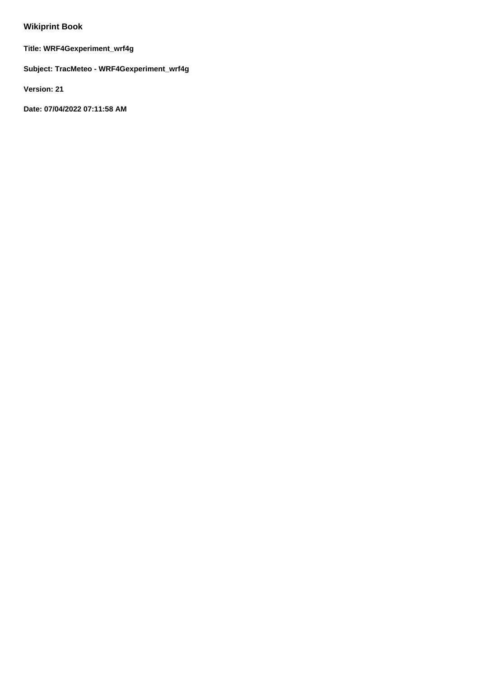# **Wikiprint Book**

**Title: WRF4Gexperiment\_wrf4g**

**Subject: TracMeteo - WRF4Gexperiment\_wrf4g**

**Version: 21**

**Date: 07/04/2022 07:11:58 AM**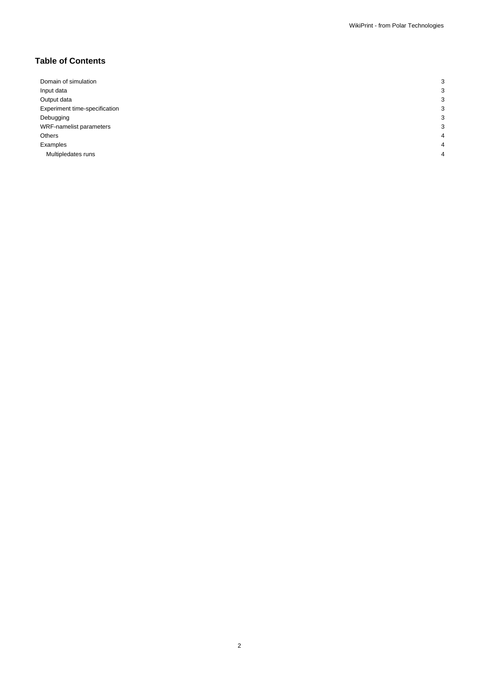## **Table of Contents**

| Domain of simulation          | c |
|-------------------------------|---|
| Input data                    |   |
| Output data                   |   |
| Experiment time-specification | З |
| Debugging                     |   |
| WRF-namelist parameters       | о |
| Others                        | 4 |
| Examples                      | Λ |
| Multipledates runs            | Λ |
|                               |   |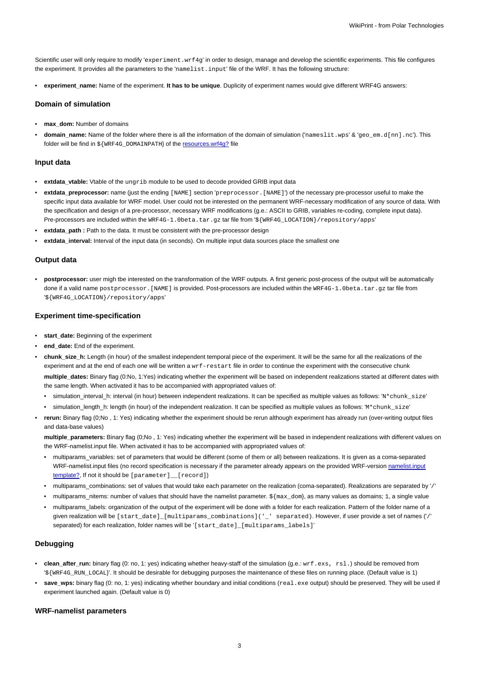Scientific user will only require to modify 'experiment.wrf4g' in order to design, manage and develop the scientific experiments. This file configures the experiment. It provides all the parameters to the 'namelist.input' file of the WRF. It has the following structure:

• **experiment\_name:** Name of the experiment. **It has to be unique**. Duplicity of experiment names would give different WRF4G answers:

## **Domain of simulation**

- **max\_dom:** Number of domains
- **domain\_name:** Name of the folder where there is all the information of the domain of simulation ('nameslit.wps' & 'geo\_em.d[nn].nc'). This folder will be find in \${WRF4G\_DOMAINPATH} of the resources.wrf4g? file

## **Input data**

- **extdata\_vtable:** Vtable of the ungrib module to be used to decode provided GRIB input data
- **extdata\_preprocessor:** name (just the ending [NAME] section 'preprocessor.[NAME]') of the necessary pre-processor useful to make the specific input data available for WRF model. User could not be interested on the permanent WRF-necessary modification of any source of data. With the specification and design of a pre-processor, necessary WRF modifications (g.e.: ASCII to GRIB, variables re-coding, complete input data). Pre-processors are included within the WRF4G-1.0beta.tar.gz tar file from '\${WRF4G\_LOCATION}/repository/apps'
- extdata\_path : Path to the data. It must be consistent with the pre-processor design
- **extdata\_interval:** Interval of the input data (in seconds). On multiple input data sources place the smallest one

## **Output data**

• **postprocessor:** user migh tbe interested on the transformation of the WRF outputs. A first generic post-process of the output will be automatically done if a valid name postprocessor. [NAME] is provided. Post-processors are included within the WRF4G-1.0beta.tar.gz tar file from '\${WRF4G\_LOCATION}/repository/apps'

#### **Experiment time-specification**

- start\_date: Beginning of the experiment
- **end\_date:** End of the experiment.
- **chunk** size h: Length (in hour) of the smallest independent temporal piece of the experiment. It will be the same for all the realizations of the experiment and at the end of each one will be written a  $wrf-restart$  file in order to continue the experiment with the consecutive chunk **multiple\_dates:** Binary flag (0:No, 1:Yes) indicating whether the experiment will be based on independent realizations started at different dates with the same length. When activated it has to be accompanied with appropriated values of:
	- simulation\_interval\_h: interval (in hour) between independent realizations. It can be specified as multiple values as follows: 'N\*chunk\_size'
	- simulation\_length\_h: length (in hour) of the independent realization. It can be specified as multiple values as follows: 'M\*chunk\_size'
- **rerun:** Binary flag (0;No , 1: Yes) indicating whether the experiment should be rerun although experiment has already run (over-writing output files and data-base values)

**multiple\_parameters:** Binary flag (0;No , 1: Yes) indicating whether the experiment will be based in independent realizations with different values on the WRF-namelist.input file. When activated it has to be accompanied with appropriated values of:

- multiparams\_variables: set of parameters that would be different (some of them or all) between realizations. It is given as a coma-separated WRF-namelist.input files (no record specification is necessary if the parameter already appears on the provided WRF-version namelist.input template?, If not it should be [parameter]\_\_[record])
- multiparams\_combinations: set of values that would take each parameter on the realization (coma-separated). Realizations are separated by '/'
- multiparams\_nitems: number of values that should have the namelist parameter. \${max\_dom}, as many values as domains; 1, a single value
- multiparams\_labels: organization of the output of the experiment will be done with a folder for each realization. Pattern of the folder name of a given realization will be [start\_date]\_[multiparams\_combinations]('\_' separated). However, if user provide a set of names ('/' separated) for each realization, folder names will be '[start\_date]\_[multiparams\_labels]'

## **Debugging**

- **clean\_after\_run:** binary flag (0: no, 1: yes) indicating whether heavy-staff of the simulation (g.e.: wrf.exs, rsl.) should be removed from '\${WRF4G\_RUN\_LOCAL}'. It should be desirable for debugging purposes the maintenance of these files on running place. (Default value is 1)
- save\_wps: binary flag (0: no, 1: yes) indicating whether boundary and initial conditions (real.exe output) should be preserved. They will be used if experiment launched again. (Default value is 0)

## **WRF-namelist parameters**